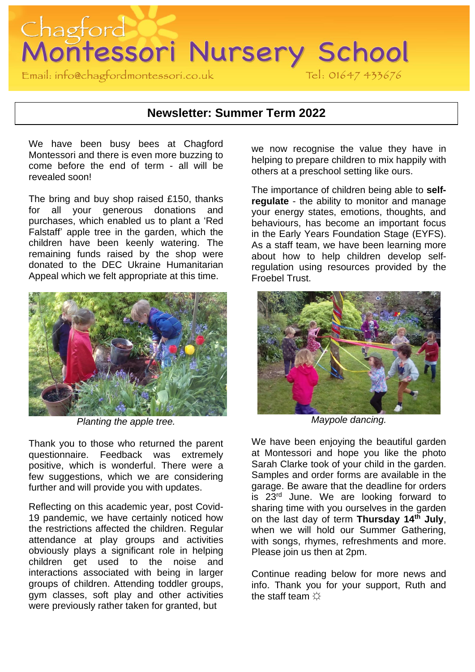

### **Newsletter: Summer Term 2022**

We have been busy bees at Chagford Montessori and there is even more buzzing to come before the end of term - all will be revealed soon!

The bring and buy shop raised £150, thanks for all your generous donations and purchases, which enabled us to plant a 'Red Falstaff' apple tree in the garden, which the children have been keenly watering. The remaining funds raised by the shop were donated to the DEC Ukraine Humanitarian Appeal which we felt appropriate at this time.



*Planting the apple tree.* 

Thank you to those who returned the parent questionnaire. Feedback was extremely positive, which is wonderful. There were a few suggestions, which we are considering further and will provide you with updates.

Reflecting on this academic year, post Covid-19 pandemic, we have certainly noticed how the restrictions affected the children. Regular attendance at play groups and activities obviously plays a significant role in helping children get used to the noise and interactions associated with being in larger groups of children. Attending toddler groups, gym classes, soft play and other activities were previously rather taken for granted, but

we now recognise the value they have in helping to prepare children to mix happily with others at a preschool setting like ours.

The importance of children being able to **selfregulate** - the ability to monitor and manage your energy states, emotions, thoughts, and behaviours, has become an important focus in the Early Years Foundation Stage (EYFS). As a staff team, we have been learning more about how to help children develop selfregulation using resources provided by the Froebel Trust.



*Maypole dancing.* 

We have been enjoying the beautiful garden at Montessori and hope you like the photo Sarah Clarke took of your child in the garden. Samples and order forms are available in the garage. Be aware that the deadline for orders is 23<sup>rd</sup> June. We are looking forward to sharing time with you ourselves in the garden on the last day of term **Thursday 14th July**, when we will hold our Summer Gathering, with songs, rhymes, refreshments and more. Please join us then at 2pm.

Continue reading below for more news and info. Thank you for your support, Ruth and the staff team  $\Diamond$